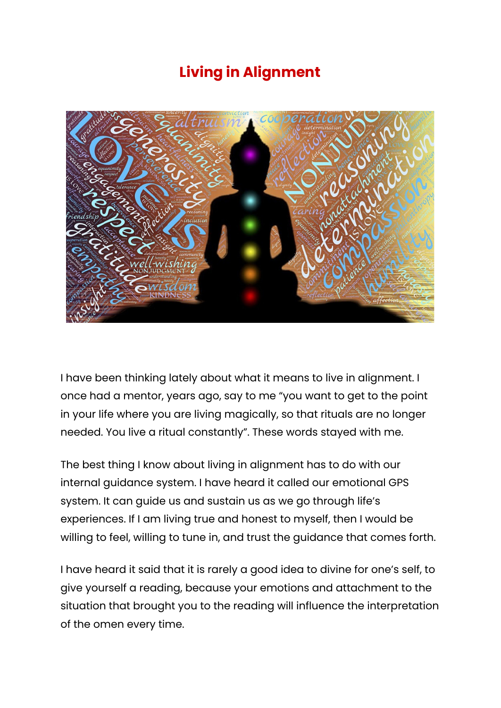## **Living in Alignment**



I have been thinking lately about what it means to live in alignment. I once had a mentor, years ago, say to me "you want to get to the point in your life where you are living magically, so that rituals are no longer needed. You live a ritual constantly". These words stayed with me.

The best thing I know about living in alignment has to do with our internal guidance system. I have heard it called our emotional GPS system. It can guide us and sustain us as we go through life's experiences. If I am living true and honest to myself, then I would be willing to feel, willing to tune in, and trust the guidance that comes forth.

I have heard it said that it is rarely a good idea to divine for one's self, to give yourself a reading, because your emotions and attachment to the situation that brought you to the reading will influence the interpretation of the omen every time.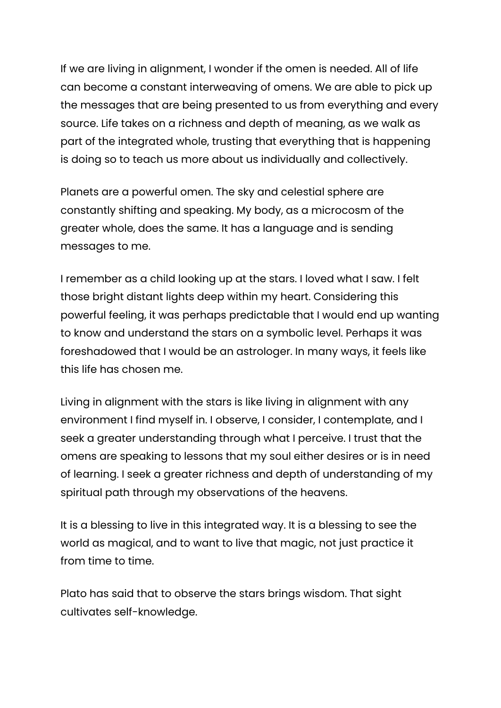If we are living in alignment, I wonder if the omen is needed. All of life can become a constant interweaving of omens. We are able to pick up the messages that are being presented to us from everything and every source. Life takes on a richness and depth of meaning, as we walk as part of the integrated whole, trusting that everything that is happening is doing so to teach us more about us individually and collectively.

Planets are a powerful omen. The sky and celestial sphere are constantly shifting and speaking. My body, as a microcosm of the greater whole, does the same. It has a language and is sending messages to me.

I remember as a child looking up at the stars. I loved what I saw. I felt those bright distant lights deep within my heart. Considering this powerful feeling, it was perhaps predictable that I would end up wanting to know and understand the stars on a symbolic level. Perhaps it was foreshadowed that I would be an astrologer. In many ways, it feels like this life has chosen me.

Living in alignment with the stars is like living in alignment with any environment I find myself in. I observe, I consider, I contemplate, and I seek a greater understanding through what I perceive. I trust that the omens are speaking to lessons that my soul either desires or is in need of learning. I seek a greater richness and depth of understanding of my spiritual path through my observations of the heavens.

It is a blessing to live in this integrated way. It is a blessing to see the world as magical, and to want to live that magic, not just practice it from time to time.

Plato has said that to observe the stars brings wisdom. That sight cultivates self-knowledge.